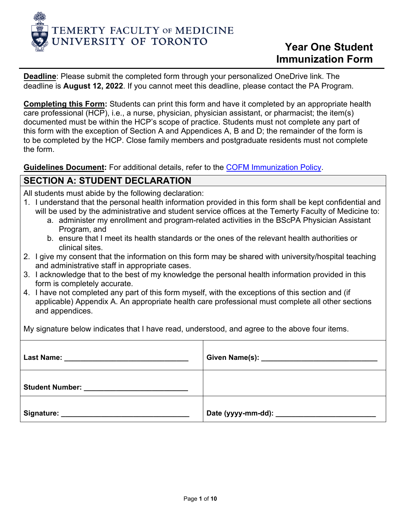

**Deadline**: Please submit the completed form through your personalized OneDrive link. The deadline is **August 12, 2022**. If you cannot meet this deadline, please contact the PA Program.

**Completing this Form:** Students can print this form and have it completed by an appropriate health care professional (HCP), i.e., a nurse, physician, physician assistant, or pharmacist; the item(s) documented must be within the HCP's scope of practice. Students must not complete any part of this form with the exception of Section A and Appendices A, B and D; the remainder of the form is to be completed by the HCP. Close family members and postgraduate residents must not complete the form.

**Guidelines Document:** For additional details, refer to th[e COFM Immunization Policy.](https://cou.ca/reports/cofm-immunization-policy/)

## **SECTION A: STUDENT DECLARATION**

All students must abide by the following declaration:

- 1. I understand that the personal health information provided in this form shall be kept confidential and will be used by the administrative and student service offices at the Temerty Faculty of Medicine to:
	- a. administer my enrollment and program-related activities in the BScPA Physician Assistant Program, and
	- b. ensure that I meet its health standards or the ones of the relevant health authorities or clinical sites.
- 2. I give my consent that the information on this form may be shared with university/hospital teaching and administrative staff in appropriate cases.
- 3. I acknowledge that to the best of my knowledge the personal health information provided in this form is completely accurate.
- 4. I have not completed any part of this form myself, with the exceptions of this section and (if applicable) Appendix A. An appropriate health care professional must complete all other sections and appendices.

My signature below indicates that I have read, understood, and agree to the above four items.

| <b>Last Name:</b><br><u> 1980 - John Stein, Amerikaansk politiker (</u>                                             |  |  |
|---------------------------------------------------------------------------------------------------------------------|--|--|
| <b>Student Number:</b><br>the control of the control of the control of the control of the control of the control of |  |  |
| Signature:                                                                                                          |  |  |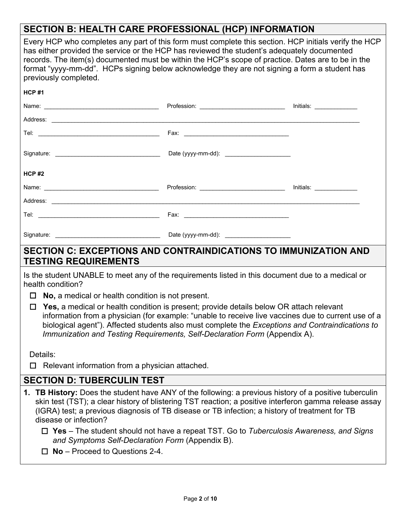# **SECTION B: HEALTH CARE PROFESSIONAL (HCP) INFORMATION**

| ULUTUN D. IILALTII VAILLI INVI LUUIVINAL (ITUI / INI VINIATIVIN                                                                                                                                                                                                                                                                                                                                                                      |                                                                                                                                                                                                                                                                                                                                                                                  |                                    |
|--------------------------------------------------------------------------------------------------------------------------------------------------------------------------------------------------------------------------------------------------------------------------------------------------------------------------------------------------------------------------------------------------------------------------------------|----------------------------------------------------------------------------------------------------------------------------------------------------------------------------------------------------------------------------------------------------------------------------------------------------------------------------------------------------------------------------------|------------------------------------|
| Every HCP who completes any part of this form must complete this section. HCP initials verify the HCP<br>has either provided the service or the HCP has reviewed the student's adequately documented<br>records. The item(s) documented must be within the HCP's scope of practice. Dates are to be in the<br>format "yyyy-mm-dd". HCPs signing below acknowledge they are not signing a form a student has<br>previously completed. |                                                                                                                                                                                                                                                                                                                                                                                  |                                    |
| <b>HCP#1</b>                                                                                                                                                                                                                                                                                                                                                                                                                         |                                                                                                                                                                                                                                                                                                                                                                                  |                                    |
|                                                                                                                                                                                                                                                                                                                                                                                                                                      |                                                                                                                                                                                                                                                                                                                                                                                  | <u>  Initials: _______________</u> |
|                                                                                                                                                                                                                                                                                                                                                                                                                                      |                                                                                                                                                                                                                                                                                                                                                                                  |                                    |
|                                                                                                                                                                                                                                                                                                                                                                                                                                      |                                                                                                                                                                                                                                                                                                                                                                                  |                                    |
|                                                                                                                                                                                                                                                                                                                                                                                                                                      |                                                                                                                                                                                                                                                                                                                                                                                  |                                    |
| HCP#2                                                                                                                                                                                                                                                                                                                                                                                                                                |                                                                                                                                                                                                                                                                                                                                                                                  |                                    |
|                                                                                                                                                                                                                                                                                                                                                                                                                                      |                                                                                                                                                                                                                                                                                                                                                                                  |                                    |
|                                                                                                                                                                                                                                                                                                                                                                                                                                      |                                                                                                                                                                                                                                                                                                                                                                                  |                                    |
|                                                                                                                                                                                                                                                                                                                                                                                                                                      |                                                                                                                                                                                                                                                                                                                                                                                  |                                    |
|                                                                                                                                                                                                                                                                                                                                                                                                                                      |                                                                                                                                                                                                                                                                                                                                                                                  |                                    |
| <b>SECTION C: EXCEPTIONS AND CONTRAINDICATIONS TO IMMUNIZATION AND</b><br><b>TESTING REQUIREMENTS</b>                                                                                                                                                                                                                                                                                                                                |                                                                                                                                                                                                                                                                                                                                                                                  |                                    |
| Is the student UNABLE to meet any of the requirements listed in this document due to a medical or<br>health condition?                                                                                                                                                                                                                                                                                                               |                                                                                                                                                                                                                                                                                                                                                                                  |                                    |
| <b>No,</b> a medical or health condition is not present.<br>□                                                                                                                                                                                                                                                                                                                                                                        |                                                                                                                                                                                                                                                                                                                                                                                  |                                    |
| $\Box$                                                                                                                                                                                                                                                                                                                                                                                                                               | Yes, a medical or health condition is present; provide details below OR attach relevant<br>information from a physician (for example: "unable to receive live vaccines due to current use of a<br>biological agent"). Affected students also must complete the Exceptions and Contraindications to<br>Immunization and Testing Requirements, Self-Declaration Form (Appendix A). |                                    |
| Details:                                                                                                                                                                                                                                                                                                                                                                                                                             |                                                                                                                                                                                                                                                                                                                                                                                  |                                    |
| Relevant information from a physician attached.<br>□                                                                                                                                                                                                                                                                                                                                                                                 |                                                                                                                                                                                                                                                                                                                                                                                  |                                    |
| <b>SECTION D: TUBERCULIN TEST</b>                                                                                                                                                                                                                                                                                                                                                                                                    |                                                                                                                                                                                                                                                                                                                                                                                  |                                    |
| 1. TB History: Does the student have ANY of the following: a previous history of a positive tuberculin<br>skin test (TST); a clear history of blistering TST reaction; a positive interferon gamma release assay<br>(IGRA) test; a previous diagnosis of TB disease or TB infection; a history of treatment for TB<br>disease or infection?                                                                                          |                                                                                                                                                                                                                                                                                                                                                                                  |                                    |
| and Symptoms Self-Declaration Form (Appendix B).<br>$\Box$ No – Proceed to Questions 2-4.                                                                                                                                                                                                                                                                                                                                            | $\Box$ Yes – The student should not have a repeat TST. Go to Tuberculosis Awareness, and Signs                                                                                                                                                                                                                                                                                   |                                    |
|                                                                                                                                                                                                                                                                                                                                                                                                                                      |                                                                                                                                                                                                                                                                                                                                                                                  |                                    |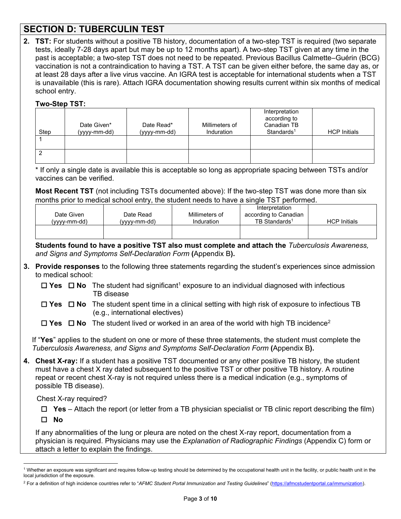# **SECTION D: TUBERCULIN TEST**

**2. TST:** For students without a positive TB history, documentation of a two-step TST is required (two separate tests, ideally 7-28 days apart but may be up to 12 months apart). A two-step TST given at any time in the past is acceptable; a two-step TST does not need to be repeated. Previous Bacillus Calmette–Guérin (BCG) vaccination is not a contraindication to having a TST. A TST can be given either before, the same day as, or at least 28 days after a live virus vaccine. An IGRA test is acceptable for international students when a TST is unavailable (this is rare). Attach IGRA documentation showing results current within six months of medical school entry.

### **Two-Step TST:**

| Step | Date Given*<br>(yyyy-mm-dd) | Date Read*<br>(yyyy-mm-dd) | Millimeters of<br>Induration | Interpretation<br>according to<br>Canadian TB<br>Standards <sup>1</sup> | <b>HCP Initials</b> |
|------|-----------------------------|----------------------------|------------------------------|-------------------------------------------------------------------------|---------------------|
|      |                             |                            |                              |                                                                         |                     |
|      |                             |                            |                              |                                                                         |                     |

\* If only a single date is available this is acceptable so long as appropriate spacing between TSTs and/or vaccines can be verified.

**Most Recent TST** (not including TSTs documented above): If the two-step TST was done more than six months prior to medical school entry, the student needs to have a single TST performed.

| Date Given<br>(vvvv-mm-dd) | Date Read<br>(yyyy-mm-dd) | Millimeters of<br>Induration | Interpretation<br>according to Canadian<br>TB Standards <sup>1</sup> | <b>HCP</b> Initials |
|----------------------------|---------------------------|------------------------------|----------------------------------------------------------------------|---------------------|
|                            |                           |                              |                                                                      |                     |

**Students found to have a positive TST also must complete and attach the** *Tuberculosis Awareness, and Signs and Symptoms Self-Declaration Form* **(**Appendix B**).**

- **3. Provide responses** to the following three statements regarding the student's experiences since admission to medical school:
	- $\Box$  **Yes**  $\Box$  **No** The student had significant<sup>1</sup> exposure to an individual diagnosed with infectious TB disease
	- **Yes No** The student spent time in a clinical setting with high risk of exposure to infectious TB (e.g., international electives)

 $\Box$  **Yes**  $\Box$  **No** The student lived or worked in an area of the world with high TB incidence<sup>2</sup>

If "**Yes**" applies to the student on one or more of these three statements, the student must complete the *Tuberculosis Awareness, and Signs and Symptoms Self-Declaration Form* **(**Appendix B**).** 

**4. Chest X-ray:** If a student has a positive TST documented or any other positive TB history, the student must have a chest X ray dated subsequent to the positive TST or other positive TB history. A routine repeat or recent chest X-ray is not required unless there is a medical indication (e.g., symptoms of possible TB disease).

Chest X-ray required?

 $\Box$  Yes – Attach the report (or letter from a TB physician specialist or TB clinic report describing the film) **No**

If any abnormalities of the lung or pleura are noted on the chest X-ray report, documentation from a physician is required. Physicians may use the *Explanation of Radiographic Findings* (Appendix C) form or attach a letter to explain the findings.

 $^{\rm 1}$  Whether an exposure was significant and requires follow-up testing should be determined by the occupational health unit in the facility, or public health unit in the local jurisdiction of the exposure.

<sup>2</sup> For a definition of high incidence countries refer to "*AFMC Student Portal Immunization and Testing Guidelines*" [\(https://afmcstudentportal.ca/immunization\)](https://afmcstudentportal.ca/immunization).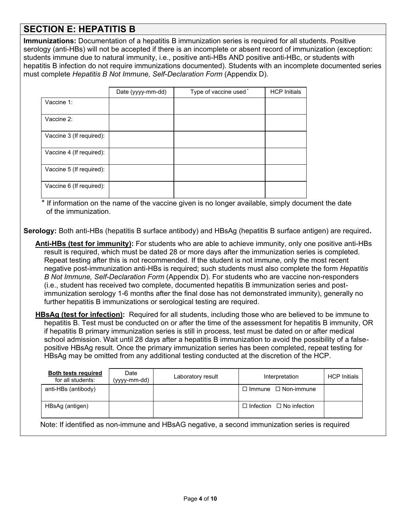## **SECTION E: HEPATITIS B**

**Immunizations:** Documentation of a hepatitis B immunization series is required for all students. Positive serology (anti-HBs) will not be accepted if there is an incomplete or absent record of immunization (exception: students immune due to natural immunity, i.e., positive anti-HBs AND positive anti-HBc, or students with hepatitis B infection do not require immunizations documented). Students with an incomplete documented series must complete *Hepatitis B Not Immune, Self-Declaration Form* (Appendix D).

|                          | Date (yyyy-mm-dd) | Type of vaccine used* | <b>HCP Initials</b> |
|--------------------------|-------------------|-----------------------|---------------------|
| Vaccine 1:               |                   |                       |                     |
| Vaccine 2:               |                   |                       |                     |
| Vaccine 3 (If required): |                   |                       |                     |
| Vaccine 4 (If required): |                   |                       |                     |
| Vaccine 5 (If required): |                   |                       |                     |
| Vaccine 6 (If required): |                   |                       |                     |

\* If information on the name of the vaccine given is no longer available, simply document the date of the immunization.

**Serology:** Both anti-HBs (hepatitis B surface antibody) and HBsAg (hepatitis B surface antigen) are required**.** 

**Anti-HBs (test for immunity):** For students who are able to achieve immunity, only one positive anti-HBs result is required, which must be dated 28 or more days after the immunization series is completed. Repeat testing after this is not recommended. If the student is not immune, only the most recent negative post-immunization anti-HBs is required; such students must also complete the form *Hepatitis B Not Immune, Self-Declaration Form* (Appendix D). For students who are vaccine non-responders (i.e., student has received two complete, documented hepatitis B immunization series and postimmunization serology 1-6 months after the final dose has not demonstrated immunity), generally no further hepatitis B immunizations or serological testing are required.

**HBsAg (test for infection):** Required for all students, including those who are believed to be immune to hepatitis B. Test must be conducted on or after the time of the assessment for hepatitis B immunity, OR if hepatitis B primary immunization series is still in process, test must be dated on or after medical school admission. Wait until 28 days after a hepatitis B immunization to avoid the possibility of a falsepositive HBsAg result. Once the primary immunization series has been completed, repeat testing for HBsAg may be omitted from any additional testing conducted at the discretion of the HCP.

| <b>Both tests required</b><br>for all students: | Date<br>(yyyy-mm-dd) | Laboratory result | Interpretation                       | <b>HCP</b> Initials |
|-------------------------------------------------|----------------------|-------------------|--------------------------------------|---------------------|
| anti-HBs (antibody)                             |                      |                   | $\Box$ Immune $\Box$ Non-immune      |                     |
| HBsAg (antigen)                                 |                      |                   | $\Box$ Infection $\Box$ No infection |                     |

Note: If identified as non-immune and HBsAG negative, a second immunization series is required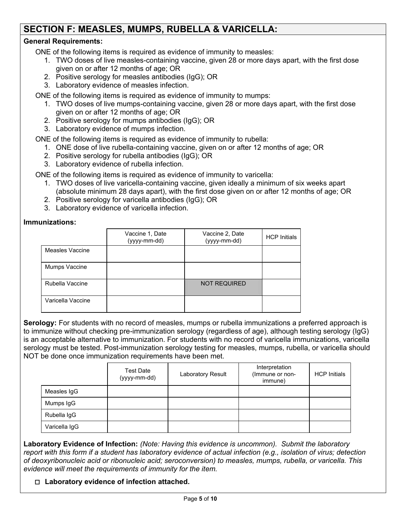# **SECTION F: MEASLES, MUMPS, RUBELLA & VARICELLA:**

## **General Requirements:**

ONE of the following items is required as evidence of immunity to measles:

- 1. TWO doses of live measles-containing vaccine, given 28 or more days apart, with the first dose given on or after 12 months of age; OR
- 2. Positive serology for measles antibodies (IgG); OR
- 3. Laboratory evidence of measles infection.

ONE of the following items is required as evidence of immunity to mumps:

- 1. TWO doses of live mumps-containing vaccine, given 28 or more days apart, with the first dose given on or after 12 months of age; OR
- 2. Positive serology for mumps antibodies (IgG); OR
- 3. Laboratory evidence of mumps infection.

ONE of the following items is required as evidence of immunity to rubella:

- 1. ONE dose of live rubella-containing vaccine, given on or after 12 months of age; OR
- 2. Positive serology for rubella antibodies (IgG); OR
- 3. Laboratory evidence of rubella infection.

ONE of the following items is required as evidence of immunity to varicella:

- 1. TWO doses of live varicella-containing vaccine, given ideally a minimum of six weeks apart (absolute minimum 28 days apart), with the first dose given on or after 12 months of age; OR
- 2. Positive serology for varicella antibodies (IgG); OR
- 3. Laboratory evidence of varicella infection.

### **Immunizations:**

|                   | Vaccine 1, Date<br>(yyyy-mm-dd) | Vaccine 2, Date<br>(yyyy-mm-dd) | <b>HCP Initials</b> |
|-------------------|---------------------------------|---------------------------------|---------------------|
| Measles Vaccine   |                                 |                                 |                     |
| Mumps Vaccine     |                                 |                                 |                     |
| Rubella Vaccine   |                                 | <b>NOT REQUIRED</b>             |                     |
| Varicella Vaccine |                                 |                                 |                     |

**Serology:** For students with no record of measles, mumps or rubella immunizations a preferred approach is to immunize without checking pre-immunization serology (regardless of age), although testing serology (IgG) is an acceptable alternative to immunization. For students with no record of varicella immunizations, varicella serology must be tested. Post-immunization serology testing for measles, mumps, rubella, or varicella should NOT be done once immunization requirements have been met.

|               | <b>Test Date</b><br>(yyyy-mm-dd) | <b>Laboratory Result</b> | Interpretation<br>(Immune or non-<br>immune) | <b>HCP Initials</b> |
|---------------|----------------------------------|--------------------------|----------------------------------------------|---------------------|
| Measles IgG   |                                  |                          |                                              |                     |
| Mumps IgG     |                                  |                          |                                              |                     |
| Rubella IgG   |                                  |                          |                                              |                     |
| Varicella IgG |                                  |                          |                                              |                     |

**Laboratory Evidence of Infection:** *(Note: Having this evidence is uncommon). Submit the laboratory report with this form if a student has laboratory evidence of actual infection (e.g., isolation of virus; detection of deoxyribonucleic acid or ribonucleic acid; seroconversion) to measles, mumps, rubella, or varicella. This evidence will meet the requirements of immunity for the item.*

#### **Laboratory evidence of infection attached.**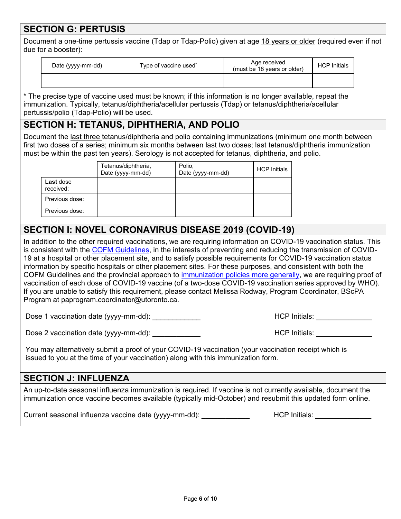# **SECTION G: PERTUSIS**

Document a one-time pertussis vaccine (Tdap or Tdap-Polio) given at age 18 years or older (required even if not due for a booster):

| Date (yyyy-mm-dd) | Type of vaccine used | Age received<br>(must be 18 years or older) | <b>HCP Initials</b> |
|-------------------|----------------------|---------------------------------------------|---------------------|
|                   |                      |                                             |                     |

\* The precise type of vaccine used must be known; if this information is no longer available, repeat the immunization. Typically, tetanus/diphtheria/acellular pertussis (Tdap) or tetanus/diphtheria/acellular pertussis/polio (Tdap-Polio) will be used.

## **SECTION H: TETANUS, DIPHTHERIA, AND POLIO**

Document the last three tetanus/diphtheria and polio containing immunizations (minimum one month between first two doses of a series; minimum six months between last two doses; last tetanus/diphtheria immunization must be within the past ten years). Serology is not accepted for tetanus, diphtheria, and polio.

|                        | Tetanus/diphtheria,<br>Date (yyyy-mm-dd) | Polio,<br>Date (yyyy-mm-dd) | <b>HCP</b> Initials |
|------------------------|------------------------------------------|-----------------------------|---------------------|
| Last dose<br>received: |                                          |                             |                     |
| Previous dose:         |                                          |                             |                     |
| Previous dose:         |                                          |                             |                     |

# **SECTION I: NOVEL CORONAVIRUS DISEASE 2019 (COVID-19)**

In addition to the other required vaccinations, we are requiring information on COVID-19 vaccination status. This is consistent with the [COFM Guidelines,](https://cou.ca/wp-content/uploads/2021/05/COFM-Immunization-Policy-1.pdf) in the interests of preventing and reducing the transmission of COVID-19 at a hospital or other placement site, and to satisfy possible requirements for COVID-19 vaccination status information by specific hospitals or other placement sites. For these purposes, and consistent with both the COFM Guidelines and the provincial approach to [immunization policies more generally,](https://www.ontario.ca/laws/regulation/900965#BK4) we are requiring proof of vaccination of each dose of COVID-19 vaccine (of a two-dose COVID-19 vaccination series approved by WHO). If you are unable to satisfy this requirement, please contact Melissa Rodway, Program Coordinator, BScPA Program at paprogram.coordinator@utoronto.ca.

Dose 1 vaccination date (yyyy-mm-dd): \_\_\_\_\_\_\_\_\_\_\_\_ HCP Initials: \_\_\_\_\_\_\_\_\_\_\_\_\_\_

Dose 2 vaccination date (yyyy-mm-dd): \_\_\_\_\_\_\_\_\_\_\_\_ HCP Initials: \_\_\_\_\_\_\_\_\_\_\_\_\_\_

You may alternatively submit a proof of your COVID-19 vaccination (your vaccination receipt which is issued to you at the time of your vaccination) along with this immunization form.

## **SECTION J: INFLUENZA**

An up-to-date seasonal influenza immunization is required. If vaccine is not currently available, document the immunization once vaccine becomes available (typically mid-October) and resubmit this updated form online.

Current seasonal influenza vaccine date (yyyy-mm-dd): <br>
HCP Initials: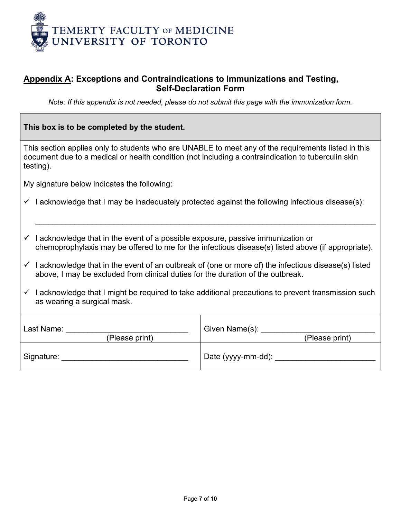

## **Appendix A: Exceptions and Contraindications to Immunizations and Testing, Self-Declaration Form**

*Note: If this appendix is not needed, please do not submit this page with the immunization form.*

| This box is to be completed by the student.                                                                                                                                                                                    |                                                                                                    |  |  |
|--------------------------------------------------------------------------------------------------------------------------------------------------------------------------------------------------------------------------------|----------------------------------------------------------------------------------------------------|--|--|
| This section applies only to students who are UNABLE to meet any of the requirements listed in this<br>document due to a medical or health condition (not including a contraindication to tuberculin skin<br>testing).         |                                                                                                    |  |  |
| My signature below indicates the following:                                                                                                                                                                                    |                                                                                                    |  |  |
| $\checkmark$ I acknowledge that I may be inadequately protected against the following infectious disease(s):                                                                                                                   |                                                                                                    |  |  |
| $\checkmark$ I acknowledge that in the event of a possible exposure, passive immunization or                                                                                                                                   | chemoprophylaxis may be offered to me for the infectious disease(s) listed above (if appropriate). |  |  |
| $\checkmark$ I acknowledge that in the event of an outbreak of (one or more of) the infectious disease(s) listed<br>above, I may be excluded from clinical duties for the duration of the outbreak.                            |                                                                                                    |  |  |
| $\checkmark$ I acknowledge that I might be required to take additional precautions to prevent transmission such<br>as wearing a surgical mask.                                                                                 |                                                                                                    |  |  |
| Given Name(s): _________<br>Last Name:<br>(Please print)<br>(Please print)                                                                                                                                                     |                                                                                                    |  |  |
| Signature: All the state of the state of the state of the state of the state of the state of the state of the state of the state of the state of the state of the state of the state of the state of the state of the state of |                                                                                                    |  |  |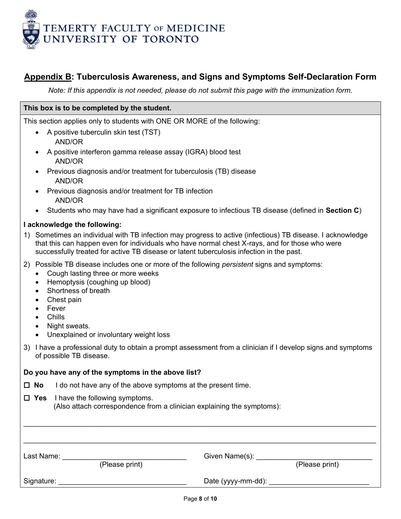

## **Appendix B: Tuberculosis Awareness, and Signs and Symptoms Self-Declaration Form**

*Note: If this appendix is not needed, please do not submit this page with the immunization form.*

#### **This box is to be completed by the student.**

This section applies only to students with ONE OR MORE of the following:

- A positive tuberculin skin test (TST) AND/OR
- A positive interferon gamma release assay (IGRA) blood test AND/OR
- Previous diagnosis and/or treatment for tuberculosis (TB) disease AND/OR
- Previous diagnosis and/or treatment for TB infection AND/OR
- Students who may have had a significant exposure to infectious TB disease (defined in **Section C**)

#### **I acknowledge the following:**

- 1) Sometimes an individual with TB infection may progress to active (infectious) TB disease. I acknowledge that this can happen even for individuals who have normal chest X-rays, and for those who were successfully treated for active TB disease or latent tuberculosis infection in the past.
- 2) Possible TB disease includes one or more of the following *persistent* signs and symptoms:
	- Cough lasting three or more weeks
	- Hemoptysis (coughing up blood)
	- Shortness of breath
	- Chest pain
	- Fever
	- Chills
	- Night sweats.
	- Unexplained or involuntary weight loss
- 3) I have a professional duty to obtain a prompt assessment from a clinician if I develop signs and symptoms of possible TB disease.

#### **Do you have any of the symptoms in the above list?**

- **No** I do not have any of the above symptoms at the present time.
- **Yes** I have the following symptoms.

| (Also attach correspondence from a clinician explaining the symptoms): |  |  |  |
|------------------------------------------------------------------------|--|--|--|
|------------------------------------------------------------------------|--|--|--|

| Last Name: | (Please print) | Given Name(s):     | (Please print) |
|------------|----------------|--------------------|----------------|
| Signature: |                | Date (yyyy-mm-dd): |                |

 $\mathcal{L}_\mathcal{L} = \mathcal{L}_\mathcal{L} = \mathcal{L}_\mathcal{L} = \mathcal{L}_\mathcal{L} = \mathcal{L}_\mathcal{L} = \mathcal{L}_\mathcal{L} = \mathcal{L}_\mathcal{L} = \mathcal{L}_\mathcal{L} = \mathcal{L}_\mathcal{L} = \mathcal{L}_\mathcal{L} = \mathcal{L}_\mathcal{L} = \mathcal{L}_\mathcal{L} = \mathcal{L}_\mathcal{L} = \mathcal{L}_\mathcal{L} = \mathcal{L}_\mathcal{L} = \mathcal{L}_\mathcal{L} = \mathcal{L}_\mathcal{L}$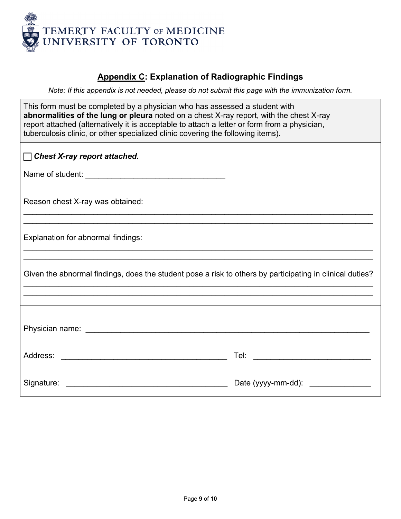

# **Appendix C: Explanation of Radiographic Findings**

*Note: If this appendix is not needed, please do not submit this page with the immunization form.*

| This form must be completed by a physician who has assessed a student with                   |  |  |  |  |
|----------------------------------------------------------------------------------------------|--|--|--|--|
| abnormalities of the lung or pleura noted on a chest X-ray report, with the chest X-ray      |  |  |  |  |
| report attached (alternatively it is acceptable to attach a letter or form from a physician, |  |  |  |  |
| tuberculosis clinic, or other specialized clinic covering the following items).              |  |  |  |  |

| Chest X-ray report attached.                                                                                                      |                    |  |  |  |
|-----------------------------------------------------------------------------------------------------------------------------------|--------------------|--|--|--|
|                                                                                                                                   |                    |  |  |  |
| Reason chest X-ray was obtained:                                                                                                  |                    |  |  |  |
| Explanation for abnormal findings:                                                                                                |                    |  |  |  |
| Given the abnormal findings, does the student pose a risk to others by participating in clinical duties?                          |                    |  |  |  |
|                                                                                                                                   |                    |  |  |  |
|                                                                                                                                   |                    |  |  |  |
| <u> 1980 - Johann Barn, amerikan besteman besteman besteman besteman besteman besteman besteman besteman besteman</u><br>Address: | Tel:               |  |  |  |
| Signature:                                                                                                                        | Date (yyyy-mm-dd): |  |  |  |